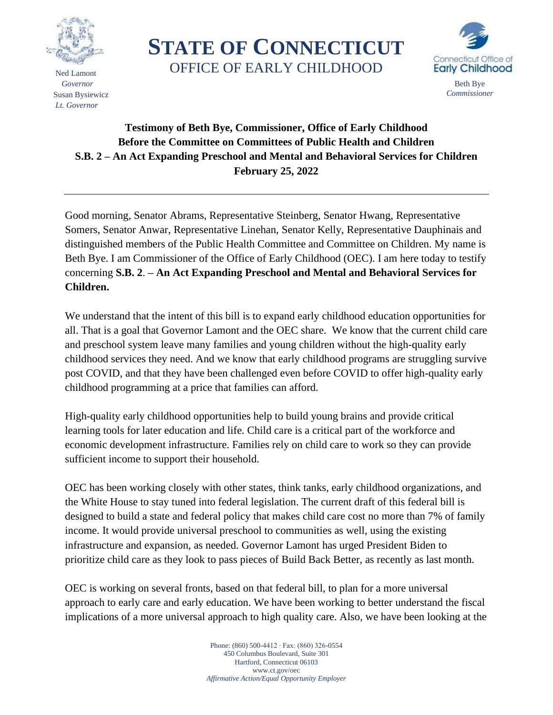

 Ned Lamont  *Governor* Susan Bysiewicz  *Lt. Governor*

**STATE OF CONNECTICUT** OFFICE OF EARLY CHILDHOOD



## **Testimony of Beth Bye, Commissioner, Office of Early Childhood Before the Committee on Committees of Public Health and Children S.B. 2 – An Act Expanding Preschool and Mental and Behavioral Services for Children February 25, 2022**

Good morning, Senator Abrams, Representative Steinberg, Senator Hwang, Representative Somers, Senator Anwar, Representative Linehan, Senator Kelly, Representative Dauphinais and distinguished members of the Public Health Committee and Committee on Children. My name is Beth Bye. I am Commissioner of the Office of Early Childhood (OEC). I am here today to testify concerning **S.B. 2**. **– An Act Expanding Preschool and Mental and Behavioral Services for Children.**

We understand that the intent of this bill is to expand early childhood education opportunities for all. That is a goal that Governor Lamont and the OEC share. We know that the current child care and preschool system leave many families and young children without the high-quality early childhood services they need. And we know that early childhood programs are struggling survive post COVID, and that they have been challenged even before COVID to offer high-quality early childhood programming at a price that families can afford.

High-quality early childhood opportunities help to build young brains and provide critical learning tools for later education and life. Child care is a critical part of the workforce and economic development infrastructure. Families rely on child care to work so they can provide sufficient income to support their household.

OEC has been working closely with other states, think tanks, early childhood organizations, and the White House to stay tuned into federal legislation. The current draft of this federal bill is designed to build a state and federal policy that makes child care cost no more than 7% of family income. It would provide universal preschool to communities as well, using the existing infrastructure and expansion, as needed. Governor Lamont has urged President Biden to prioritize child care as they look to pass pieces of Build Back Better, as recently as last month.

OEC is working on several fronts, based on that federal bill, to plan for a more universal approach to early care and early education. We have been working to better understand the fiscal implications of a more universal approach to high quality care. Also, we have been looking at the